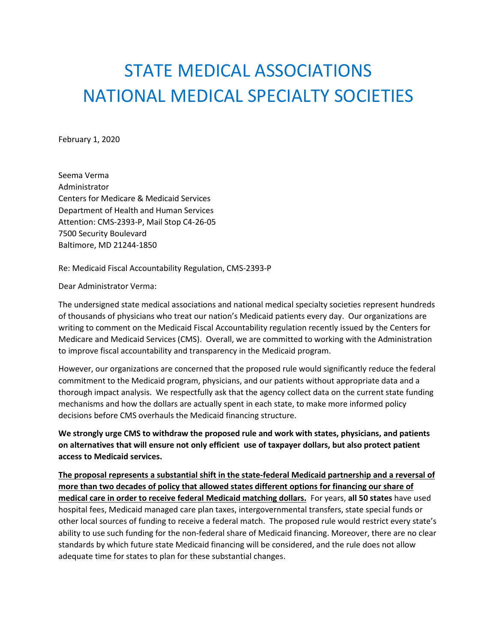## STATE MEDICAL ASSOCIATIONS NATIONAL MEDICAL SPECIALTY SOCIETIES

February 1, 2020

Seema Verma Administrator Centers for Medicare & Medicaid Services Department of Health and Human Services Attention: CMS-2393-P, Mail Stop C4-26-05 7500 Security Boulevard Baltimore, MD 21244-1850

Re: Medicaid Fiscal Accountability Regulation, CMS-2393-P

Dear Administrator Verma:

The undersigned state medical associations and national medical specialty societies represent hundreds of thousands of physicians who treat our nation's Medicaid patients every day. Our organizations are writing to comment on the Medicaid Fiscal Accountability regulation recently issued by the Centers for Medicare and Medicaid Services (CMS). Overall, we are committed to working with the Administration to improve fiscal accountability and transparency in the Medicaid program.

However, our organizations are concerned that the proposed rule would significantly reduce the federal commitment to the Medicaid program, physicians, and our patients without appropriate data and a thorough impact analysis. We respectfully ask that the agency collect data on the current state funding mechanisms and how the dollars are actually spent in each state, to make more informed policy decisions before CMS overhauls the Medicaid financing structure.

**We strongly urge CMS to withdraw the proposed rule and work with states, physicians, and patients on alternatives that will ensure not only efficient use of taxpayer dollars, but also protect patient access to Medicaid services.** 

**The proposal represents a substantial shift in the state-federal Medicaid partnership and a reversal of more than two decades of policy that allowed states different options for financing our share of medical care in order to receive federal Medicaid matching dollars.** For years, **all 50 states** have used hospital fees, Medicaid managed care plan taxes, intergovernmental transfers, state special funds or other local sources of funding to receive a federal match. The proposed rule would restrict every state's ability to use such funding for the non-federal share of Medicaid financing. Moreover, there are no clear standards by which future state Medicaid financing will be considered, and the rule does not allow adequate time for states to plan for these substantial changes.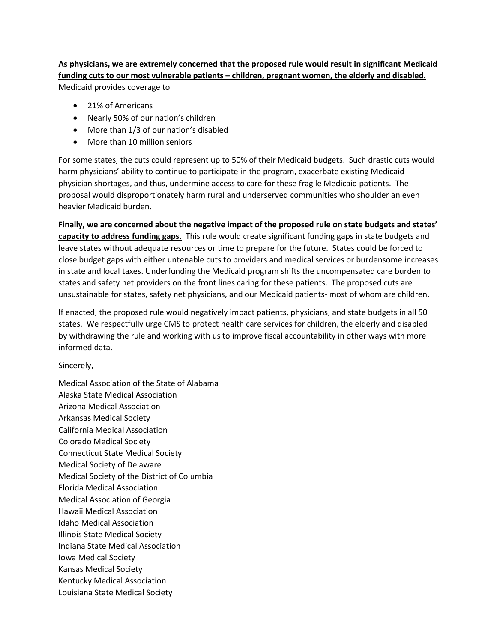**As physicians, we are extremely concerned that the proposed rule would result in significant Medicaid funding cuts to our most vulnerable patients – children, pregnant women, the elderly and disabled.**  Medicaid provides coverage to

- 21% of Americans
- Nearly 50% of our nation's children
- More than 1/3 of our nation's disabled
- More than 10 million seniors

For some states, the cuts could represent up to 50% of their Medicaid budgets. Such drastic cuts would harm physicians' ability to continue to participate in the program, exacerbate existing Medicaid physician shortages, and thus, undermine access to care for these fragile Medicaid patients. The proposal would disproportionately harm rural and underserved communities who shoulder an even heavier Medicaid burden.

**Finally, we are concerned about the negative impact of the proposed rule on state budgets and states' capacity to address funding gaps.** This rule would create significant funding gaps in state budgets and leave states without adequate resources or time to prepare for the future. States could be forced to close budget gaps with either untenable cuts to providers and medical services or burdensome increases in state and local taxes. Underfunding the Medicaid program shifts the uncompensated care burden to states and safety net providers on the front lines caring for these patients. The proposed cuts are unsustainable for states, safety net physicians, and our Medicaid patients- most of whom are children.

If enacted, the proposed rule would negatively impact patients, physicians, and state budgets in all 50 states. We respectfully urge CMS to protect health care services for children, the elderly and disabled by withdrawing the rule and working with us to improve fiscal accountability in other ways with more informed data.

Sincerely,

Medical Association of the State of Alabama Alaska State Medical Association Arizona Medical Association Arkansas Medical Society California Medical Association Colorado Medical Society Connecticut State Medical Society Medical Society of Delaware Medical Society of the District of Columbia Florida Medical Association Medical Association of Georgia Hawaii Medical Association Idaho Medical Association Illinois State Medical Society Indiana State Medical Association Iowa Medical Society Kansas Medical Society Kentucky Medical Association Louisiana State Medical Society